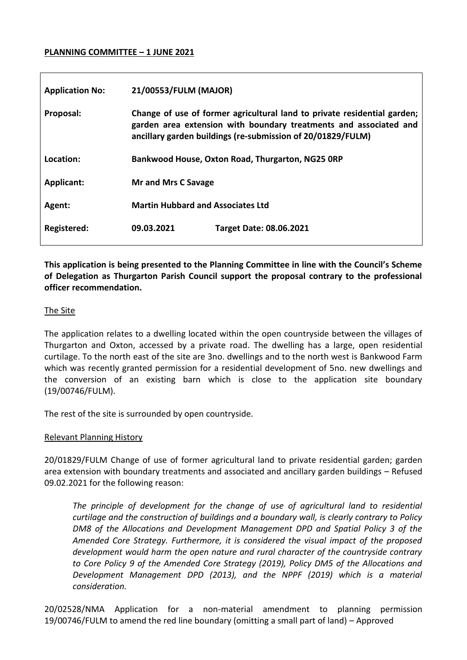#### **PLANNING COMMITTEE – 1 JUNE 2021**

| <b>Application No:</b> | 21/00553/FULM (MAJOR)                                                                                                                                                                                        |                                |
|------------------------|--------------------------------------------------------------------------------------------------------------------------------------------------------------------------------------------------------------|--------------------------------|
| Proposal:              | Change of use of former agricultural land to private residential garden;<br>garden area extension with boundary treatments and associated and<br>ancillary garden buildings (re-submission of 20/01829/FULM) |                                |
| Location:              | Bankwood House, Oxton Road, Thurgarton, NG25 ORP                                                                                                                                                             |                                |
| Applicant:             | <b>Mr and Mrs C Savage</b>                                                                                                                                                                                   |                                |
| Agent:                 | <b>Martin Hubbard and Associates Ltd</b>                                                                                                                                                                     |                                |
| Registered:            | 09.03.2021                                                                                                                                                                                                   | <b>Target Date: 08.06.2021</b> |

**This application is being presented to the Planning Committee in line with the Council's Scheme of Delegation as Thurgarton Parish Council support the proposal contrary to the professional officer recommendation.**

#### The Site

The application relates to a dwelling located within the open countryside between the villages of Thurgarton and Oxton, accessed by a private road. The dwelling has a large, open residential curtilage. To the north east of the site are 3no. dwellings and to the north west is Bankwood Farm which was recently granted permission for a residential development of 5no. new dwellings and the conversion of an existing barn which is close to the application site boundary (19/00746/FULM).

The rest of the site is surrounded by open countryside.

### Relevant Planning History

20/01829/FULM Change of use of former agricultural land to private residential garden; garden area extension with boundary treatments and associated and ancillary garden buildings – Refused 09.02.2021 for the following reason:

The principle of development for the change of use of agricultural land to residential *curtilage and the construction of buildings and a boundary wall, is clearly contrary to Policy DM8 of the Allocations and Development Management DPD and Spatial Policy 3 of the Amended Core Strategy. Furthermore, it is considered the visual impact of the proposed development would harm the open nature and rural character of the countryside contrary to Core Policy 9 of the Amended Core Strategy (2019), Policy DM5 of the Allocations and Development Management DPD (2013), and the NPPF (2019) which is a material consideration.*

20/02528/NMA Application for a non-material amendment to planning permission 19/00746/FULM to amend the red line boundary (omitting a small part of land) – Approved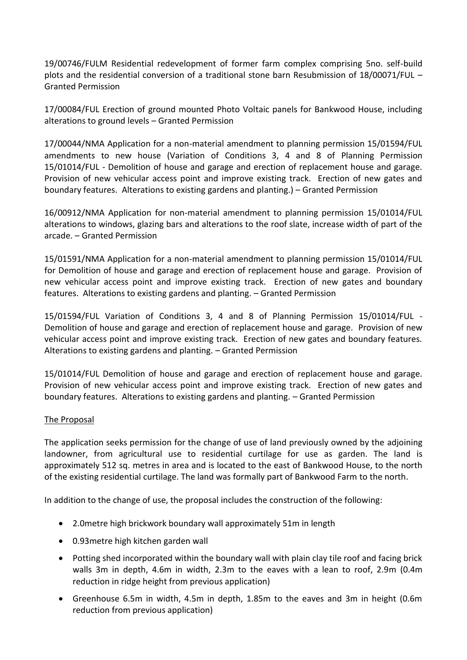19/00746/FULM Residential redevelopment of former farm complex comprising 5no. self-build plots and the residential conversion of a traditional stone barn Resubmission of 18/00071/FUL – Granted Permission

17/00084/FUL Erection of ground mounted Photo Voltaic panels for Bankwood House, including alterations to ground levels – Granted Permission

17/00044/NMA Application for a non-material amendment to planning permission 15/01594/FUL amendments to new house (Variation of Conditions 3, 4 and 8 of Planning Permission 15/01014/FUL - Demolition of house and garage and erection of replacement house and garage. Provision of new vehicular access point and improve existing track. Erection of new gates and boundary features. Alterations to existing gardens and planting.) – Granted Permission

16/00912/NMA Application for non-material amendment to planning permission 15/01014/FUL alterations to windows, glazing bars and alterations to the roof slate, increase width of part of the arcade. – Granted Permission

15/01591/NMA Application for a non-material amendment to planning permission 15/01014/FUL for Demolition of house and garage and erection of replacement house and garage. Provision of new vehicular access point and improve existing track. Erection of new gates and boundary features. Alterations to existing gardens and planting. – Granted Permission

15/01594/FUL Variation of Conditions 3, 4 and 8 of Planning Permission 15/01014/FUL - Demolition of house and garage and erection of replacement house and garage. Provision of new vehicular access point and improve existing track. Erection of new gates and boundary features. Alterations to existing gardens and planting. – Granted Permission

15/01014/FUL Demolition of house and garage and erection of replacement house and garage. Provision of new vehicular access point and improve existing track. Erection of new gates and boundary features. Alterations to existing gardens and planting. – Granted Permission

# The Proposal

The application seeks permission for the change of use of land previously owned by the adjoining landowner, from agricultural use to residential curtilage for use as garden. The land is approximately 512 sq. metres in area and is located to the east of Bankwood House, to the north of the existing residential curtilage. The land was formally part of Bankwood Farm to the north.

In addition to the change of use, the proposal includes the construction of the following:

- 2.0metre high brickwork boundary wall approximately 51m in length
- 0.93metre high kitchen garden wall
- Potting shed incorporated within the boundary wall with plain clay tile roof and facing brick walls 3m in depth, 4.6m in width, 2.3m to the eaves with a lean to roof, 2.9m (0.4m reduction in ridge height from previous application)
- Greenhouse 6.5m in width, 4.5m in depth, 1.85m to the eaves and 3m in height (0.6m reduction from previous application)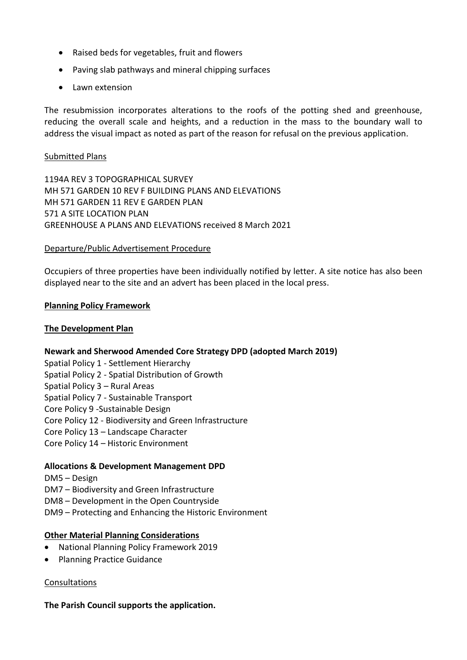- Raised beds for vegetables, fruit and flowers
- Paving slab pathways and mineral chipping surfaces
- Lawn extension

The resubmission incorporates alterations to the roofs of the potting shed and greenhouse, reducing the overall scale and heights, and a reduction in the mass to the boundary wall to address the visual impact as noted as part of the reason for refusal on the previous application.

### Submitted Plans

1194A REV 3 TOPOGRAPHICAL SURVEY MH 571 GARDEN 10 REV F BUILDING PLANS AND ELEVATIONS MH 571 GARDEN 11 REV E GARDEN PLAN 571 A SITE LOCATION PLAN GREENHOUSE A PLANS AND ELEVATIONS received 8 March 2021

## Departure/Public Advertisement Procedure

Occupiers of three properties have been individually notified by letter. A site notice has also been displayed near to the site and an advert has been placed in the local press.

## **Planning Policy Framework**

## **The Development Plan**

# **Newark and Sherwood Amended Core Strategy DPD (adopted March 2019)**

- Spatial Policy 1 Settlement Hierarchy
- Spatial Policy 2 Spatial Distribution of Growth
- Spatial Policy 3 Rural Areas
- Spatial Policy 7 Sustainable Transport
- Core Policy 9 -Sustainable Design
- Core Policy 12 Biodiversity and Green Infrastructure
- Core Policy 13 Landscape Character
- Core Policy 14 Historic Environment

# **Allocations & Development Management DPD**

- DM5 Design
- DM7 Biodiversity and Green Infrastructure
- DM8 Development in the Open Countryside
- DM9 Protecting and Enhancing the Historic Environment

### **Other Material Planning Considerations**

- National Planning Policy Framework 2019
- Planning Practice Guidance

# Consultations

# **The Parish Council supports the application.**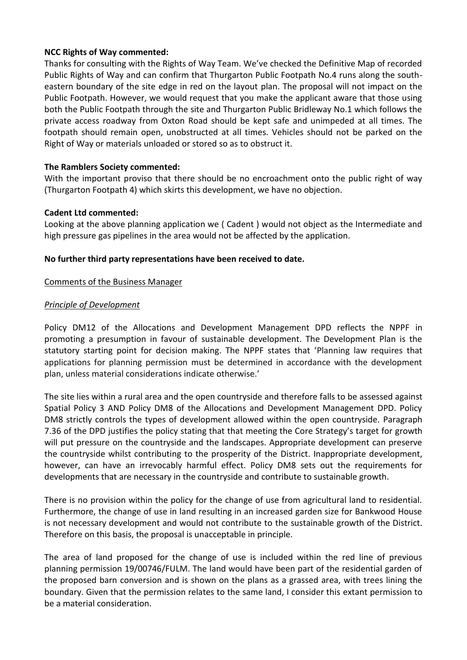## **NCC Rights of Way commented:**

Thanks for consulting with the Rights of Way Team. We've checked the Definitive Map of recorded Public Rights of Way and can confirm that Thurgarton Public Footpath No.4 runs along the southeastern boundary of the site edge in red on the layout plan. The proposal will not impact on the Public Footpath. However, we would request that you make the applicant aware that those using both the Public Footpath through the site and Thurgarton Public Bridleway No.1 which follows the private access roadway from Oxton Road should be kept safe and unimpeded at all times. The footpath should remain open, unobstructed at all times. Vehicles should not be parked on the Right of Way or materials unloaded or stored so as to obstruct it.

## **The Ramblers Society commented:**

With the important proviso that there should be no encroachment onto the public right of way (Thurgarton Footpath 4) which skirts this development, we have no objection.

## **Cadent Ltd commented:**

Looking at the above planning application we ( Cadent ) would not object as the Intermediate and high pressure gas pipelines in the area would not be affected by the application.

## **No further third party representations have been received to date.**

### Comments of the Business Manager

## *Principle of Development*

Policy DM12 of the Allocations and Development Management DPD reflects the NPPF in promoting a presumption in favour of sustainable development. The Development Plan is the statutory starting point for decision making. The NPPF states that 'Planning law requires that applications for planning permission must be determined in accordance with the development plan, unless material considerations indicate otherwise.'

The site lies within a rural area and the open countryside and therefore falls to be assessed against Spatial Policy 3 AND Policy DM8 of the Allocations and Development Management DPD. Policy DM8 strictly controls the types of development allowed within the open countryside. Paragraph 7.36 of the DPD justifies the policy stating that that meeting the Core Strategy's target for growth will put pressure on the countryside and the landscapes. Appropriate development can preserve the countryside whilst contributing to the prosperity of the District. Inappropriate development, however, can have an irrevocably harmful effect. Policy DM8 sets out the requirements for developments that are necessary in the countryside and contribute to sustainable growth.

There is no provision within the policy for the change of use from agricultural land to residential. Furthermore, the change of use in land resulting in an increased garden size for Bankwood House is not necessary development and would not contribute to the sustainable growth of the District. Therefore on this basis, the proposal is unacceptable in principle.

The area of land proposed for the change of use is included within the red line of previous planning permission 19/00746/FULM. The land would have been part of the residential garden of the proposed barn conversion and is shown on the plans as a grassed area, with trees lining the boundary. Given that the permission relates to the same land, I consider this extant permission to be a material consideration.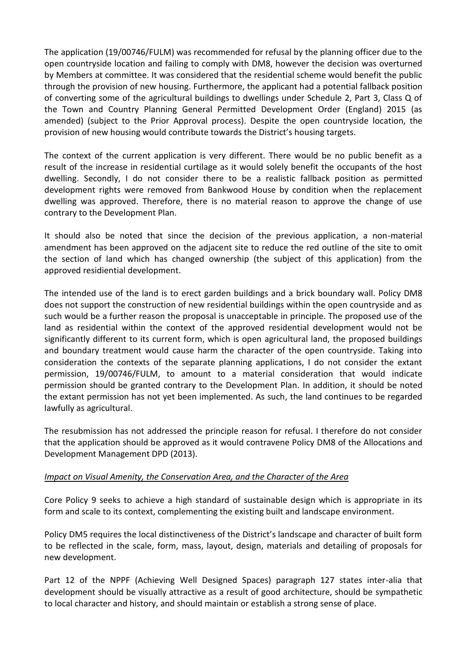The application (19/00746/FULM) was recommended for refusal by the planning officer due to the open countryside location and failing to comply with DM8, however the decision was overturned by Members at committee. It was considered that the residential scheme would benefit the public through the provision of new housing. Furthermore, the applicant had a potential fallback position of converting some of the agricultural buildings to dwellings under Schedule 2, Part 3, Class Q of the Town and Country Planning General Permitted Development Order (England) 2015 (as amended) (subject to the Prior Approval process). Despite the open countryside location, the provision of new housing would contribute towards the District's housing targets.

The context of the current application is very different. There would be no public benefit as a result of the increase in residential curtilage as it would solely benefit the occupants of the host dwelling. Secondly, I do not consider there to be a realistic fallback position as permitted development rights were removed from Bankwood House by condition when the replacement dwelling was approved. Therefore, there is no material reason to approve the change of use contrary to the Development Plan.

It should also be noted that since the decision of the previous application, a non-material amendment has been approved on the adjacent site to reduce the red outline of the site to omit the section of land which has changed ownership (the subject of this application) from the approved residiential development.

The intended use of the land is to erect garden buildings and a brick boundary wall. Policy DM8 does not support the construction of new residential buildings within the open countryside and as such would be a further reason the proposal is unacceptable in principle. The proposed use of the land as residential within the context of the approved residential development would not be significantly different to its current form, which is open agricultural land, the proposed buildings and boundary treatment would cause harm the character of the open countryside. Taking into consideration the contexts of the separate planning applications, I do not consider the extant permission, 19/00746/FULM, to amount to a material consideration that would indicate permission should be granted contrary to the Development Plan. In addition, it should be noted the extant permission has not yet been implemented. As such, the land continues to be regarded lawfully as agricultural.

The resubmission has not addressed the principle reason for refusal. I therefore do not consider that the application should be approved as it would contravene Policy DM8 of the Allocations and Development Management DPD (2013).

# *Impact on Visual Amenity, the Conservation Area, and the Character of the Area*

Core Policy 9 seeks to achieve a high standard of sustainable design which is appropriate in its form and scale to its context, complementing the existing built and landscape environment.

Policy DM5 requires the local distinctiveness of the District's landscape and character of built form to be reflected in the scale, form, mass, layout, design, materials and detailing of proposals for new development.

Part 12 of the NPPF (Achieving Well Designed Spaces) paragraph 127 states inter-alia that development should be visually attractive as a result of good architecture, should be sympathetic to local character and history, and should maintain or establish a strong sense of place.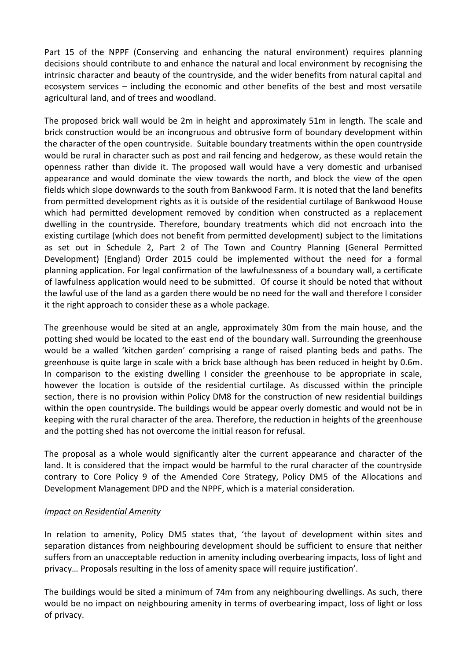Part 15 of the NPPF (Conserving and enhancing the natural environment) requires planning decisions should contribute to and enhance the natural and local environment by recognising the intrinsic character and beauty of the countryside, and the wider benefits from natural capital and ecosystem services – including the economic and other benefits of the best and most versatile agricultural land, and of trees and woodland.

The proposed brick wall would be 2m in height and approximately 51m in length. The scale and brick construction would be an incongruous and obtrusive form of boundary development within the character of the open countryside. Suitable boundary treatments within the open countryside would be rural in character such as post and rail fencing and hedgerow, as these would retain the openness rather than divide it. The proposed wall would have a very domestic and urbanised appearance and would dominate the view towards the north, and block the view of the open fields which slope downwards to the south from Bankwood Farm. It is noted that the land benefits from permitted development rights as it is outside of the residential curtilage of Bankwood House which had permitted development removed by condition when constructed as a replacement dwelling in the countryside. Therefore, boundary treatments which did not encroach into the existing curtilage (which does not benefit from permitted development) subject to the limitations as set out in Schedule 2, Part 2 of The Town and Country Planning (General Permitted Development) (England) Order 2015 could be implemented without the need for a formal planning application. For legal confirmation of the lawfulnessness of a boundary wall, a certificate of lawfulness application would need to be submitted. Of course it should be noted that without the lawful use of the land as a garden there would be no need for the wall and therefore I consider it the right approach to consider these as a whole package.

The greenhouse would be sited at an angle, approximately 30m from the main house, and the potting shed would be located to the east end of the boundary wall. Surrounding the greenhouse would be a walled 'kitchen garden' comprising a range of raised planting beds and paths. The greenhouse is quite large in scale with a brick base although has been reduced in height by 0.6m. In comparison to the existing dwelling I consider the greenhouse to be appropriate in scale, however the location is outside of the residential curtilage. As discussed within the principle section, there is no provision within Policy DM8 for the construction of new residential buildings within the open countryside. The buildings would be appear overly domestic and would not be in keeping with the rural character of the area. Therefore, the reduction in heights of the greenhouse and the potting shed has not overcome the initial reason for refusal.

The proposal as a whole would significantly alter the current appearance and character of the land. It is considered that the impact would be harmful to the rural character of the countryside contrary to Core Policy 9 of the Amended Core Strategy, Policy DM5 of the Allocations and Development Management DPD and the NPPF, which is a material consideration.

# *Impact on Residential Amenity*

In relation to amenity, Policy DM5 states that, 'the layout of development within sites and separation distances from neighbouring development should be sufficient to ensure that neither suffers from an unacceptable reduction in amenity including overbearing impacts, loss of light and privacy… Proposals resulting in the loss of amenity space will require justification'.

The buildings would be sited a minimum of 74m from any neighbouring dwellings. As such, there would be no impact on neighbouring amenity in terms of overbearing impact, loss of light or loss of privacy.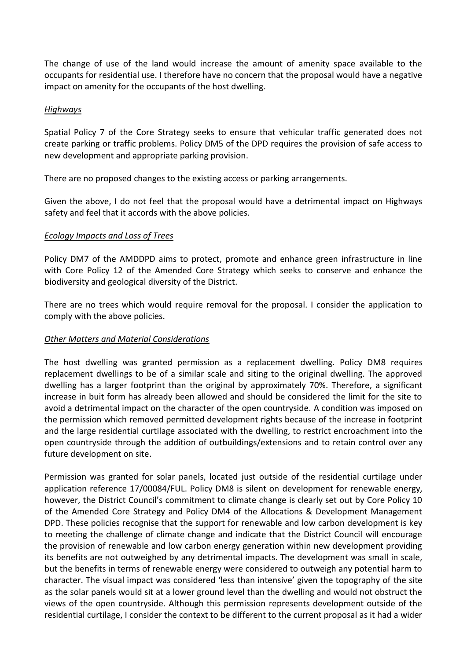The change of use of the land would increase the amount of amenity space available to the occupants for residential use. I therefore have no concern that the proposal would have a negative impact on amenity for the occupants of the host dwelling.

### *Highways*

Spatial Policy 7 of the Core Strategy seeks to ensure that vehicular traffic generated does not create parking or traffic problems. Policy DM5 of the DPD requires the provision of safe access to new development and appropriate parking provision.

There are no proposed changes to the existing access or parking arrangements.

Given the above, I do not feel that the proposal would have a detrimental impact on Highways safety and feel that it accords with the above policies.

## *Ecology Impacts and Loss of Trees*

Policy DM7 of the AMDDPD aims to protect, promote and enhance green infrastructure in line with Core Policy 12 of the Amended Core Strategy which seeks to conserve and enhance the biodiversity and geological diversity of the District.

There are no trees which would require removal for the proposal. I consider the application to comply with the above policies.

# *Other Matters and Material Considerations*

The host dwelling was granted permission as a replacement dwelling. Policy DM8 requires replacement dwellings to be of a similar scale and siting to the original dwelling. The approved dwelling has a larger footprint than the original by approximately 70%. Therefore, a significant increase in buit form has already been allowed and should be considered the limit for the site to avoid a detrimental impact on the character of the open countryside. A condition was imposed on the permission which removed permitted development rights because of the increase in footprint and the large residential curtilage associated with the dwelling, to restrict encroachment into the open countryside through the addition of outbuildings/extensions and to retain control over any future development on site.

Permission was granted for solar panels, located just outside of the residential curtilage under application reference 17/00084/FUL. Policy DM8 is silent on development for renewable energy, however, the District Council's commitment to climate change is clearly set out by Core Policy 10 of the Amended Core Strategy and Policy DM4 of the Allocations & Development Management DPD. These policies recognise that the support for renewable and low carbon development is key to meeting the challenge of climate change and indicate that the District Council will encourage the provision of renewable and low carbon energy generation within new development providing its benefits are not outweighed by any detrimental impacts. The development was small in scale, but the benefits in terms of renewable energy were considered to outweigh any potential harm to character. The visual impact was considered 'less than intensive' given the topography of the site as the solar panels would sit at a lower ground level than the dwelling and would not obstruct the views of the open countryside. Although this permission represents development outside of the residential curtilage, I consider the context to be different to the current proposal as it had a wider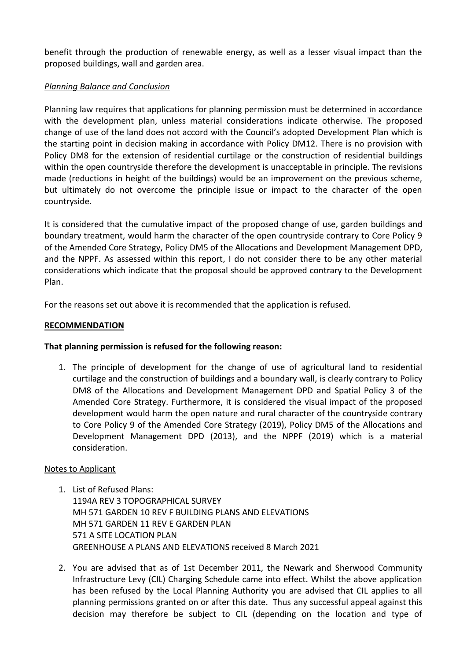benefit through the production of renewable energy, as well as a lesser visual impact than the proposed buildings, wall and garden area.

# *Planning Balance and Conclusion*

Planning law requires that applications for planning permission must be determined in accordance with the development plan, unless material considerations indicate otherwise. The proposed change of use of the land does not accord with the Council's adopted Development Plan which is the starting point in decision making in accordance with Policy DM12. There is no provision with Policy DM8 for the extension of residential curtilage or the construction of residential buildings within the open countryside therefore the development is unacceptable in principle. The revisions made (reductions in height of the buildings) would be an improvement on the previous scheme, but ultimately do not overcome the principle issue or impact to the character of the open countryside.

It is considered that the cumulative impact of the proposed change of use, garden buildings and boundary treatment, would harm the character of the open countryside contrary to Core Policy 9 of the Amended Core Strategy, Policy DM5 of the Allocations and Development Management DPD, and the NPPF. As assessed within this report, I do not consider there to be any other material considerations which indicate that the proposal should be approved contrary to the Development Plan.

For the reasons set out above it is recommended that the application is refused.

### **RECOMMENDATION**

### **That planning permission is refused for the following reason:**

1. The principle of development for the change of use of agricultural land to residential curtilage and the construction of buildings and a boundary wall, is clearly contrary to Policy DM8 of the Allocations and Development Management DPD and Spatial Policy 3 of the Amended Core Strategy. Furthermore, it is considered the visual impact of the proposed development would harm the open nature and rural character of the countryside contrary to Core Policy 9 of the Amended Core Strategy (2019), Policy DM5 of the Allocations and Development Management DPD (2013), and the NPPF (2019) which is a material consideration.

### Notes to Applicant

- 1. List of Refused Plans: 1194A REV 3 TOPOGRAPHICAL SURVEY MH 571 GARDEN 10 REV F BUILDING PLANS AND ELEVATIONS MH 571 GARDEN 11 REV E GARDEN PLAN 571 A SITE LOCATION PLAN GREENHOUSE A PLANS AND ELEVATIONS received 8 March 2021
- 2. You are advised that as of 1st December 2011, the Newark and Sherwood Community Infrastructure Levy (CIL) Charging Schedule came into effect. Whilst the above application has been refused by the Local Planning Authority you are advised that CIL applies to all planning permissions granted on or after this date. Thus any successful appeal against this decision may therefore be subject to CIL (depending on the location and type of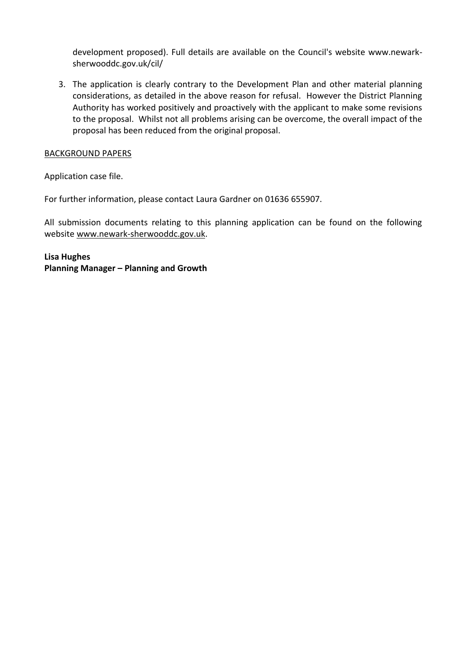development proposed). Full details are available on the Council's website www.newarksherwooddc.gov.uk/cil/

3. The application is clearly contrary to the Development Plan and other material planning considerations, as detailed in the above reason for refusal. However the District Planning Authority has worked positively and proactively with the applicant to make some revisions to the proposal. Whilst not all problems arising can be overcome, the overall impact of the proposal has been reduced from the original proposal.

### BACKGROUND PAPERS

Application case file.

For further information, please contact Laura Gardner on 01636 655907.

All submission documents relating to this planning application can be found on the following websit[e www.newark-sherwooddc.gov.uk.](http://www.newark-sherwooddc.gov.uk/)

**Lisa Hughes Planning Manager – Planning and Growth**